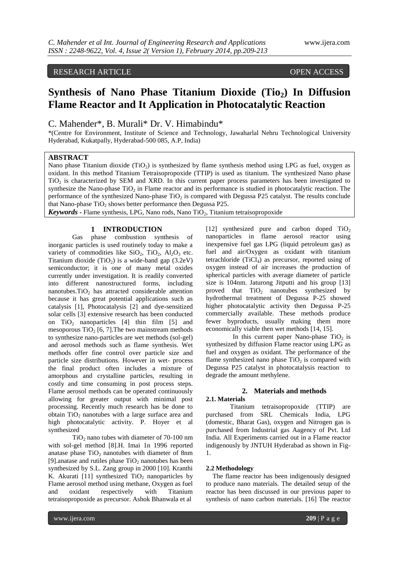# RESEARCH ARTICLE OPEN ACCESS

# **Synthesis of Nano Phase Titanium Dioxide (Tio2) In Diffusion Flame Reactor and It Application in Photocatalytic Reaction**

# C. Mahender\*, B. Murali\* Dr. V. Himabindu\*

\*(Centre for Environment, Institute of Science and Technology, Jawaharlal Nehru Technological University Hyderabad, Kukatpally, Hyderabad-500 085, A.P, India)

# **ABSTRACT**

Nano phase Titanium dioxide (TiO<sub>2</sub>) is synthesized by flame synthesis method using LPG as fuel, oxygen as oxidant. In this method Titanium Tetraisopropoxide (TTIP) is used as titanium. The synthesized Nano phase  $TiO<sub>2</sub>$  is characterized by SEM and XRD. In this current paper process parameters has been investigated to synthesize the Nano-phase  $TiO<sub>2</sub>$  in Flame reactor and its performance is studied in photocatalytic reaction. The performance of the synthesized Nano-phase  $TiO<sub>2</sub>$  is compared with Degussa P25 catalyst. The results conclude that Nano-phase  $TiO<sub>2</sub>$  shows better performance then Degussa P25.

*Keywords* **-** Flame synthesis, LPG, Nano rods, Nano TiO<sub>2</sub>, Titanium tetraisopropoxide

#### **1 INTRODUCTION**

Gas phase combustion synthesis of inorganic particles is used routinely today to make a variety of commodities like  $SiO_2$ ,  $TiO_2$ ,  $Al_2O_3$  etc. Titanium dioxide  $(TiO<sub>2</sub>)$  is a wide-band gap  $(3.2eV)$ semiconductor; it is one of many metal oxides currently under investigation. It is readily converted into different nanostructured forms, including nanotubes.TiO<sub>2</sub> has attracted considerable attention because it has great potential applications such as catalysis [1], Photocatalysis [2] and dye-sensitized solar cells [3] extensive research has been conducted on  $TiO<sub>2</sub>$  nanoparticles [4] thin film [5] and mesoporous  $TiO<sub>2</sub>$  [6, 7]. The two mainstream methods to synthesize nano-particles are wet methods (sol-gel) and aerosol methods such as flame synthesis. Wet methods offer fine control over particle size and particle size distributions. However in wet- process the final product often includes a mixture of amorphous and crystalline particles, resulting in costly and time consuming in post process steps. Flame aerosol methods can be operated continuously allowing for greater output with minimal post processing. Recently much research has be done to obtain  $TiO<sub>2</sub>$  nanotubes with a large surface area and high photocatalytic activity. P. Hoyer et al synthesized

 $TiO<sub>2</sub>$  nano tubes with diameter of 70-100 nm with sol-gel method [8].H. Imai 1n 1996 reported anatase phase  $TiO<sub>2</sub>$  nanotubes with diameter of 8nm [9].anatase and rutiles phase  $TiO<sub>2</sub>$  nanotubes has been synthesized by S.L. Zang group in 2000 [10]. Kranthi K. Akurati [11] synthesized  $TiO<sub>2</sub>$  nanoparticles by Flame aerosol method using methane, Oxygen as fuel<br>and oxidant respectively with Titanium and oxidant respectively with Titanium tetraisopropoxide as precursor. Ashok Bhanwala et al

[12] synthesized pure and carbon doped  $TiO<sub>2</sub>$ nanoparticles in flame aerosol reactor using inexpensive fuel gas LPG (liquid petroleum gas) as fuel and air/Oxygen as oxidant with titanium tetrachloride  $(TiCl<sub>4</sub>)$  as precursor, reported using of oxygen instead of air increases the production of spherical particles with average diameter of particle size is 104nm. Jaturong Jitputti and his group [13] proved that  $TiO<sub>2</sub>$  nanotubes synthesized by hydrothermal treatment of Degussa P-25 showed higher photocatalytic activity then Degussa P-25 commercially available. These methods produce fewer byproducts, usually making them more economically viable then wet methods [14, 15].

In this current paper Nano-phase  $TiO<sub>2</sub>$  is synthesized by diffusion Flame reactor using LPG as fuel and oxygen as oxidant. The performance of the flame synthesized nano phase  $TiO<sub>2</sub>$  is compared with Degussa P25 catalyst in photocatalysis reaction to degrade the amount methylene.

# **2. Materials and methods**

### **2.1. Materials**

Titanium tetraisopropoxide (TTIP) are purchased from SRL Chemicals India, LPG (domestic, Bharat Gas), oxygen and Nitrogen gas is purchased from Industrial gas Aagency of Pvt. Ltd India. All Experiments carried out in a Flame reactor indigenously by JNTUH Hyderabad as shown in Fig-1.

#### **2.2 Methodology**

 The flame reactor has been indigenously designed to produce nano materials. The detailed setup of the reactor has been discussed in our previous paper to synthesis of nano carbon materials. [16] The reactor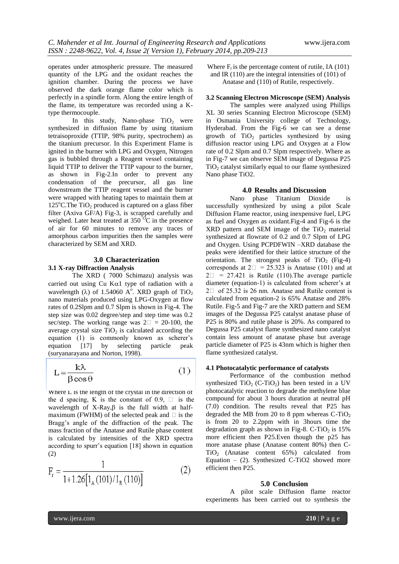operates under atmospheric pressure. The measured quantity of the LPG and the oxidant reaches the ignition chamber. During the process we have observed the dark orange flame color which is perfectly in a spindle form. Along the entire length of the flame, its temperature was recorded using a Ktype thermocouple.

In this study, Nano-phase  $TiO<sub>2</sub>$  were synthesized in diffusion flame by using titanium tetraisoproxide (TTIP, 98% purity, spectrochem) as the titanium precursor. In this Experiment Flame is ignited in the burner with LPG and Oxygen, Nitrogen gas is bubbled through a Reagent vessel containing liquid TTIP to deliver the TTIP vapour to the burner, as shown in Fig-2.In order to prevent any condensation of the precursor, all gas line downstream the TTIP reagent vessel and the burner were wrapped with heating tapes to maintain them at 125 $^{\circ}$ C.The TiO<sub>2</sub> produced is captured on a glass fiber filter (Axiva GF/A) Fig-3, is scrapped carefully and weighed. Later heat treated at  $350<sup>o</sup>C$  in the presence of air for 60 minutes to remove any traces of amorphous carbon impurities then the samples were characterized by SEM and XRD.

#### **3.0 Characterization**

#### **3.1 X-ray Diffraction Analysis**

The XRD ( 7000 Schimazu) analysis was carried out using Cu  $K\alpha$ 1 type of radiation with a wavelength ( $\lambda$ ) of 1.54060 A°. XRD graph of TiO<sub>2</sub> nano materials produced using LPG-Oxygen at flow rates of 0.2Slpm and 0.7 Slpm is shown in Fig-4. The step size was 0.02 degree/step and step time was 0.2 sec/step. The working range was  $2\square = 20{\text -}100$ , the average crystal size  $TiO<sub>2</sub>$  is calculated according the equation (1) is commonly known as scherer's equation [17] by selecting particle peak (suryanarayana and Norton, 1998).

$$
L = \frac{k\lambda}{\beta \cos \theta} \tag{1}
$$

Where L is the length of the crystal in the direction of the d spacing, K is the constant of 0.9,  $\Box$  is the wavelength of  $X-Ray, \beta$  is the full width at halfmaximum (FWHM) of the selected peak and  $\Box$  is the Bragg's angle of the diffraction of the peak. The mass fraction of the Anatase and Rutile phase content is calculated by intensities of the XRD spectra according to spurr's equation [18] shown in equation (2)

$$
F_r = \frac{1}{1 + 1.26 \left[ 1_A (101) / I_R (110) \right]} \tag{2}
$$

Where  $F_r$  is the percentage content of rutile, IA (101) and IR (110) are the integral intensities of (101) of Anatase and (110) of Rutile, respectively.

#### **3.2 Scanning Electron Microscope (SEM) Analysis**

The samples were analyzed using Phillips XL 30 series Scanning Electron Microscope (SEM) in Osmania University college of Technology, Hyderabad. From the Fig-6 we can see a dense growth of  $TiO<sub>2</sub>$  particles synthesized by using diffusion reactor using LPG and Oxygen at a Flow rate of 0.2 Slpm and 0.7 Slpm respectively. Where as in Fig-7 we can observe SEM image of Degussa P25  $TiO<sub>2</sub>$  catalyst similarly equal to our flame synthesized Nano phase TiO2.

#### **4.0 Results and Discussion**

Nano phase Titanium Dioxide is successfully synthesized by using a pilot Scale Diffusion Flame reactor, using inexpensive fuel, LPG as fuel and Oxygen as oxidant.Fig-4 and Fig-6 is the  $XRD$  pattern and SEM image of the TiO<sub>2</sub> material synthesized at flowrate of 0.2 and 0.7 Slpm of LPG and Oxygen. Using PCPDFWIN –XRD database the peaks were identified for their lattice structure of the orientation. The strongest peaks of  $TiO<sub>2</sub>$  (Fig-4) corresponds at  $2\Box$  = 25.323 is Anatase (101) and at  $2\square$  = 27.421 is Rutile (110). The average particle diameter (equation-1) is calculated from scherer's at  $2\Box$  of 25.32 is 26 nm. Anatase and Rutile content is calculated from equation-2 is 65% Anatase and 28% Rutile. Fig-5 and Fig-7 are the XRD pattern and SEM images of the Degussa P25 catalyst anatase phase of P25 is 80% and rutile phase is 20%. As compared to Degussa P25 catalyst flame synthesized nano catalyst contain less amount of anatase phase but average particle diameter of P25 is 43nm which is higher then flame synthesized catalyst.

#### **4.1 Photocatalytic performance of catalysts**

Performance of the combustion method synthesized  $TiO<sub>2</sub>$  (C-TiO<sub>2</sub>) has been tested in a UV photocatalytic reaction to degrade the methylene blue compound for about 3 hours duration at neutral pH (7.0) condition. The results reveal that P25 has degraded the MB from 20 to 8 ppm whereas  $C-TiO<sub>2</sub>$ is from 20 to 2.2ppm with in 3hours time the degradation graph as shown in Fig-8. C-TiO<sub>2</sub> is  $15\%$ more efficient then P25.Even though the p25 has more anatase phase (Anatase content 80%) then C-TiO2 (Anatase content 65%) calculated from Equation – (2). Synthesized C-TiO2 showed more efficient then P25.

#### **5.0 Conclusion**

A pilot scale Diffusion flame reactor experiments has been carried out to synthesis the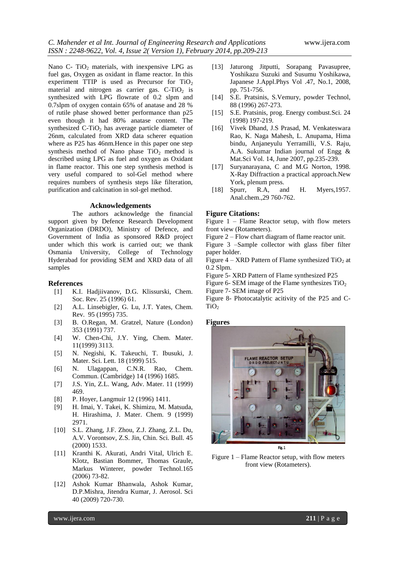Nano  $C- TiO<sub>2</sub>$  materials, with inexpensive LPG as fuel gas, Oxygen as oxidant in flame reactor. In this experiment TTIP is used as Precursor for  $TiO<sub>2</sub>$ material and nitrogen as carrier gas.  $C-TiO<sub>2</sub>$  is synthesized with LPG flowrate of 0.2 slpm and 0.7slpm of oxygen contain 65% of anatase and 28 % of rutile phase showed better performance than p25 even though it had 80% anatase content. The synthesized C-TiO<sub>2</sub> has average particle diameter of 26nm, calculated from XRD data scherer equation where as P25 has 46nm.Hence in this paper one step synthesis method of Nano phase  $TiO<sub>2</sub>$  method is described using LPG as fuel and oxygen as Oxidant in flame reactor. This one step synthesis method is very useful compared to sol-Gel method where requires numbers of synthesis steps like filteration, purification and calcination in sol-gel method.

#### **Acknowledgements**

The authors acknowledge the financial support given by Defence Research Development Organization (DRDO), Ministry of Defence, and Government of India as sponsored R&D project under which this work is carried out; we thank Osmania University, College of Technology Hyderabad for providing SEM and XRD data of all samples

#### **References**

- [1] K.I. Hadjiivanov, D.G. Klissurski, Chem. Soc. Rev. 25 (1996) 61.
- [2] A.L. Linsebigler, G. Lu, J.T. Yates, Chem. Rev. 95 (1995) 735.
- [3] B. O.Regan, M. Gratzel, Nature (London) 353 (1991) 737.
- [4] W. Chen-Chi, J.Y. Ying, Chem. Mater. 11(1999) 3113.
- [5] N. Negishi, K. Takeuchi, T. Ibusuki, J. Mater. Sci. Lett. 18 (1999) 515.
- [6] N. Ulagappan, C.N.R. Rao, Chem. Commun. (Cambridge) 14 (1996) 1685.
- [7] J.S. Yin, Z.L. Wang, Adv. Mater. 11 (1999) 469.
- [8] P. Hoyer, Langmuir 12 (1996) 1411.
- [9] H. Imai, Y. Takei, K. Shimizu, M. Matsuda, H. Hirashima, J. Mater. Chem. 9 (1999) 2971.
- [10] S.L. Zhang, J.F. Zhou, Z.J. Zhang, Z.L. Du, A.V. Vorontsov, Z.S. Jin, Chin. Sci. Bull. 45 (2000) 1533.
- [11] Kranthi K. Akurati, Andri Vital, Ulrich E. Klotz, Bastian Bommer, Thomas Graule, Markus Winterer, powder Technol.165 (2006) 73-82.
- [12] Ashok Kumar Bhanwala, Ashok Kumar, D.P.Mishra, Jitendra Kumar, J. Aerosol. Sci 40 (2009) 720-730.
- [13] Jaturong Jitputti, Sorapang Pavasupree, Yoshikazu Suzuki and Susumu Yoshikawa, Japanese J.Appl.Phys Vol .47, No.1, 2008, pp. 751-756.
- [14] S.E. Pratsinis, S.Vemury, powder Technol, 88 (1996) 267-273.
- [15] S.E. Pratsinis, prog. Energy combust.Sci. 24 (1998) 197-219.
- [16] Vivek Dhand, J.S Prasad, M. Venkateswara Rao, K. Naga Mahesh, L. Anupama, Hima bindu, Anjaneyulu Yerramilli, V.S. Raju, A.A. Sukumar Indian journal of Engg & Mat.Sci Vol. 14, June 2007, pp.235-239.
- [17] Suryanarayana, C and M.G Norton, 1998. X-Ray Diffraction a practical approach.New York, plenum press.
- [18] Spurr, R.A, and H. Myers,1957. Anal.chem.,29 760-762.

#### **Figure Citations:**

Figure 1 – Flame Reactor setup, with flow meters front view (Rotameters).

Figure 2 – Flow chart diagram of flame reactor unit.

Figure 3 –Sample collector with glass fiber filter paper holder.

Figure  $4 - XRD$  Pattern of Flame synthesized TiO<sub>2</sub> at 0.2 Slpm.

Figure 5- XRD Pattern of Flame synthesized P25

Figure 6- SEM image of the Flame synthesizes  $TiO<sub>2</sub>$ 

Figure 7- SEM image of P25

Figure 8- Photocatalytic acitivity of the P25 and C- $TiO<sub>2</sub>$ 

#### **Figures**



Figure 1 – Flame Reactor setup, with flow meters front view (Rotameters).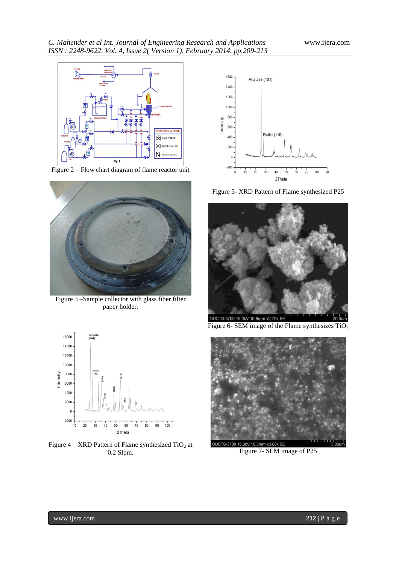

Figure 2 – Flow chart diagram of flame reactor unit



Figure 3 –Sample collector with glass fiber filter paper holder.



Figure  $4 - XRD$  Pattern of Flame synthesized  $TiO<sub>2</sub>$  at 0.2 Slpm.



Figure 5- XRD Pattern of Flame synthesized P25



Figure 6- SEM image of the Flame synthesizes  $TiO<sub>2</sub>$ 



Figure 7- SEM image of P25